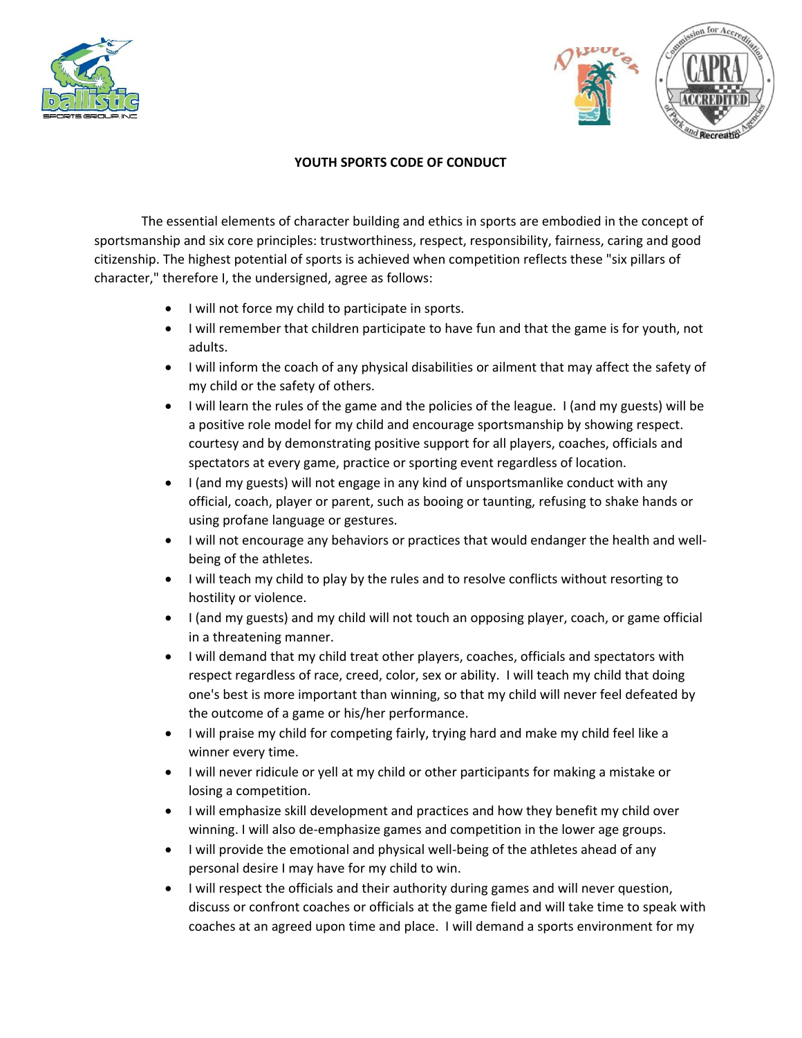



## **YOUTH SPORTS CODE OF CONDUCT**

The essential elements of character building and ethics in sports are embodied in the concept of sportsmanship and six core principles: trustworthiness, respect, responsibility, fairness, caring and good citizenship. The highest potential of sports is achieved when competition reflects these "six pillars of character," therefore I, the undersigned, agree as follows:

- I will not force my child to participate in sports.
- I will remember that children participate to have fun and that the game is for youth, not adults.
- I will inform the coach of any physical disabilities or ailment that may affect the safety of my child or the safety of others.
- I will learn the rules of the game and the policies of the league. I (and my guests) will be a positive role model for my child and encourage sportsmanship by showing respect. courtesy and by demonstrating positive support for all players, coaches, officials and spectators at every game, practice or sporting event regardless of location.
- I (and my guests) will not engage in any kind of unsportsmanlike conduct with any official, coach, player or parent, such as booing or taunting, refusing to shake hands or using profane language or gestures.
- I will not encourage any behaviors or practices that would endanger the health and wellbeing of the athletes.
- I will teach my child to play by the rules and to resolve conflicts without resorting to hostility or violence.
- I (and my guests) and my child will not touch an opposing player, coach, or game official in a threatening manner.
- I will demand that my child treat other players, coaches, officials and spectators with respect regardless of race, creed, color, sex or ability. I will teach my child that doing one's best is more important than winning, so that my child will never feel defeated by the outcome of a game or his/her performance.
- I will praise my child for competing fairly, trying hard and make my child feel like a winner every time.
- I will never ridicule or yell at my child or other participants for making a mistake or losing a competition.
- I will emphasize skill development and practices and how they benefit my child over winning. I will also de-emphasize games and competition in the lower age groups.
- I will provide the emotional and physical well-being of the athletes ahead of any personal desire I may have for my child to win.
- I will respect the officials and their authority during games and will never question, discuss or confront coaches or officials at the game field and will take time to speak with coaches at an agreed upon time and place. I will demand a sports environment for my